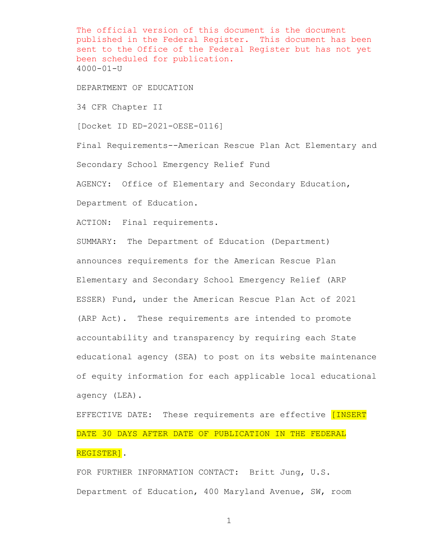The official version of this document is the document published in the Federal Register. This document has been sent to the Office of the Federal Register but has not yet been scheduled for publication. 4000-01-U

DEPARTMENT OF EDUCATION

34 CFR Chapter II

[Docket ID ED-2021-OESE-0116]

Final Requirements--American Rescue Plan Act Elementary and Secondary School Emergency Relief Fund

AGENCY: Office of Elementary and Secondary Education, Department of Education.

ACTION: Final requirements.

SUMMARY: The Department of Education (Department) announces requirements for the American Rescue Plan Elementary and Secondary School Emergency Relief (ARP ESSER) Fund, under the American Rescue Plan Act of 2021 (ARP Act). These requirements are intended to promote accountability and transparency by requiring each State educational agency (SEA) to post on its website maintenance of equity information for each applicable local educational agency (LEA).

EFFECTIVE DATE: These requirements are effective [INSERT DATE 30 DAYS AFTER DATE OF PUBLICATION IN THE FEDERAL REGISTER].

FOR FURTHER INFORMATION CONTACT: Britt Jung, U.S. Department of Education, 400 Maryland Avenue, SW, room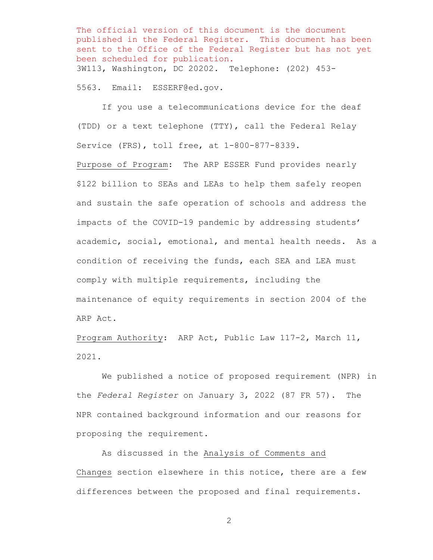The official version of this document is the document published in the Federal Register. This document has been sent to the Office of the Federal Register but has not yet been scheduled for publication. 3W113, Washington, DC 20202. Telephone: (202) 453-

5563. Email: ESSERF@ed.gov.

If you use a telecommunications device for the deaf (TDD) or a text telephone (TTY), call the Federal Relay Service (FRS), toll free, at 1-800-877-8339.

Purpose of Program: The ARP ESSER Fund provides nearly \$122 billion to SEAs and LEAs to help them safely reopen and sustain the safe operation of schools and address the impacts of the COVID-19 pandemic by addressing students' academic, social, emotional, and mental health needs. As a condition of receiving the funds, each SEA and LEA must comply with multiple requirements, including the maintenance of equity requirements in section 2004 of the ARP Act.

Program Authority: ARP Act, Public Law 117-2, March 11, 2021.

We published a notice of proposed requirement (NPR) in the *Federal Register* on January 3, 2022 (87 FR 57). The NPR contained background information and our reasons for proposing the requirement.

As discussed in the Analysis of Comments and Changes section elsewhere in this notice, there are a few differences between the proposed and final requirements.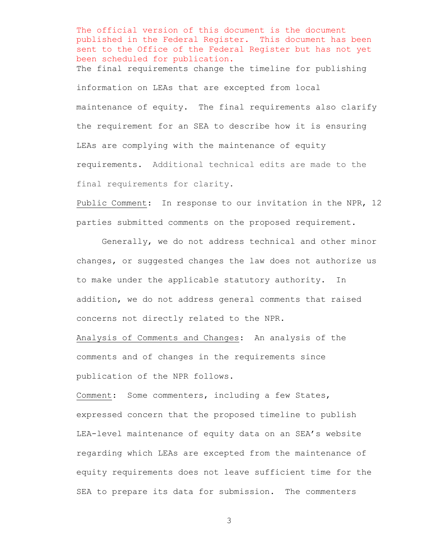The official version of this document is the document published in the Federal Register. This document has been sent to the Office of the Federal Register but has not yet been scheduled for publication. The final requirements change the timeline for publishing information on LEAs that are excepted from local maintenance of equity. The final requirements also clarify the requirement for an SEA to describe how it is ensuring LEAs are complying with the maintenance of equity requirements. Additional technical edits are made to the final requirements for clarity.

Public Comment: In response to our invitation in the NPR, 12 parties submitted comments on the proposed requirement.

Generally, we do not address technical and other minor changes, or suggested changes the law does not authorize us to make under the applicable statutory authority. In addition, we do not address general comments that raised concerns not directly related to the NPR.

Analysis of Comments and Changes: An analysis of the comments and of changes in the requirements since publication of the NPR follows.

Comment: Some commenters, including a few States, expressed concern that the proposed timeline to publish LEA-level maintenance of equity data on an SEA's website regarding which LEAs are excepted from the maintenance of equity requirements does not leave sufficient time for the SEA to prepare its data for submission. The commenters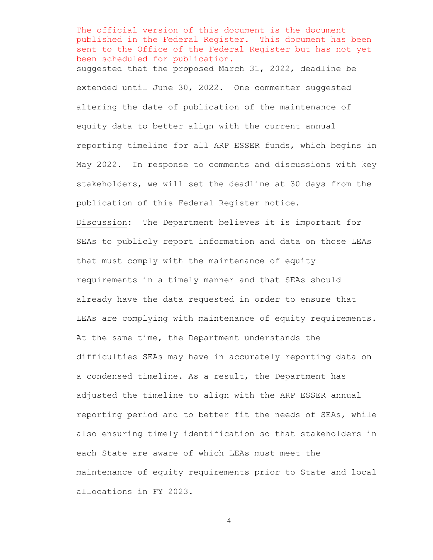The official version of this document is the document published in the Federal Register. This document has been sent to the Office of the Federal Register but has not yet been scheduled for publication. suggested that the proposed March 31, 2022, deadline be extended until June 30, 2022. One commenter suggested altering the date of publication of the maintenance of equity data to better align with the current annual reporting timeline for all ARP ESSER funds, which begins in May 2022. In response to comments and discussions with key stakeholders, we will set the deadline at 30 days from the publication of this Federal Register notice.

Discussion: The Department believes it is important for SEAs to publicly report information and data on those LEAs that must comply with the maintenance of equity requirements in a timely manner and that SEAs should already have the data requested in order to ensure that LEAs are complying with maintenance of equity requirements. At the same time, the Department understands the difficulties SEAs may have in accurately reporting data on a condensed timeline. As a result, the Department has adjusted the timeline to align with the ARP ESSER annual reporting period and to better fit the needs of SEAs, while also ensuring timely identification so that stakeholders in each State are aware of which LEAs must meet the maintenance of equity requirements prior to State and local allocations in FY 2023.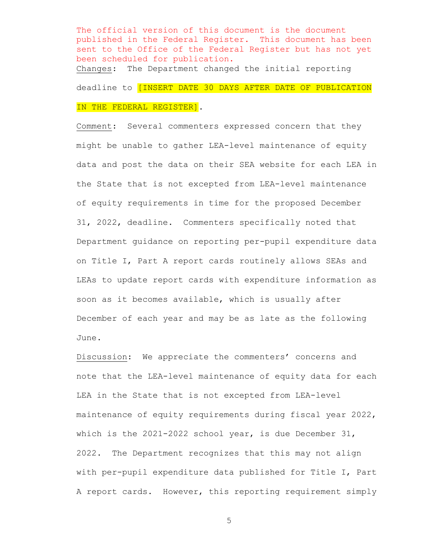The official version of this document is the document published in the Federal Register. This document has been sent to the Office of the Federal Register but has not yet been scheduled for publication. Changes: The Department changed the initial reporting deadline to [INSERT DATE 30 DAYS AFTER DATE OF PUBLICATION IN THE FEDERAL REGISTER].

Comment: Several commenters expressed concern that they might be unable to gather LEA-level maintenance of equity data and post the data on their SEA website for each LEA in the State that is not excepted from LEA-level maintenance of equity requirements in time for the proposed December 31, 2022, deadline. Commenters specifically noted that Department guidance on reporting per-pupil expenditure data on Title I, Part A report cards routinely allows SEAs and LEAs to update report cards with expenditure information as soon as it becomes available, which is usually after December of each year and may be as late as the following June.

Discussion: We appreciate the commenters' concerns and note that the LEA-level maintenance of equity data for each LEA in the State that is not excepted from LEA-level maintenance of equity requirements during fiscal year 2022, which is the 2021-2022 school year, is due December 31, 2022. The Department recognizes that this may not align with per-pupil expenditure data published for Title I, Part A report cards. However, this reporting requirement simply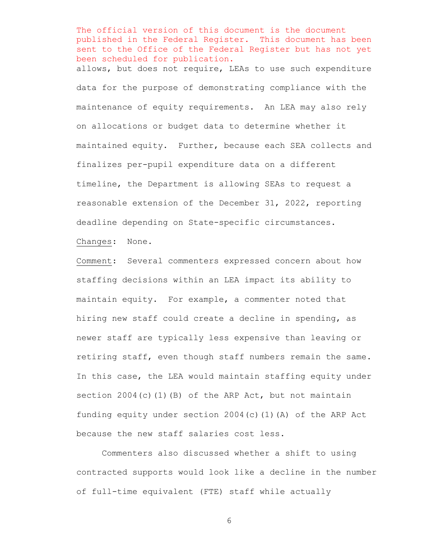The official version of this document is the document published in the Federal Register. This document has been sent to the Office of the Federal Register but has not yet been scheduled for publication. allows, but does not require, LEAs to use such expenditure data for the purpose of demonstrating compliance with the maintenance of equity requirements. An LEA may also rely on allocations or budget data to determine whether it maintained equity. Further, because each SEA collects and finalizes per-pupil expenditure data on a different timeline, the Department is allowing SEAs to request a reasonable extension of the December 31, 2022, reporting deadline depending on State-specific circumstances.

Changes: None.

Comment: Several commenters expressed concern about how staffing decisions within an LEA impact its ability to maintain equity. For example, a commenter noted that hiring new staff could create a decline in spending, as newer staff are typically less expensive than leaving or retiring staff, even though staff numbers remain the same. In this case, the LEA would maintain staffing equity under section 2004(c)(1)(B) of the ARP Act, but not maintain funding equity under section 2004(c)(1)(A) of the ARP Act because the new staff salaries cost less.

Commenters also discussed whether a shift to using contracted supports would look like a decline in the number of full-time equivalent (FTE) staff while actually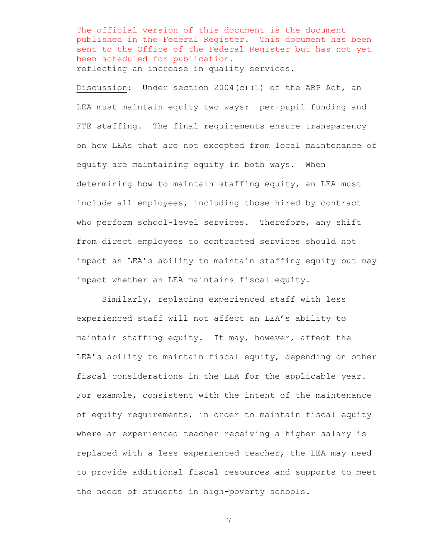The official version of this document is the document published in the Federal Register. This document has been sent to the Office of the Federal Register but has not yet been scheduled for publication. reflecting an increase in quality services.

Discussion: Under section 2004(c)(1) of the ARP Act, an LEA must maintain equity two ways: per-pupil funding and FTE staffing. The final requirements ensure transparency on how LEAs that are not excepted from local maintenance of equity are maintaining equity in both ways. When determining how to maintain staffing equity, an LEA must include all employees, including those hired by contract who perform school-level services. Therefore, any shift from direct employees to contracted services should not impact an LEA's ability to maintain staffing equity but may impact whether an LEA maintains fiscal equity.

Similarly, replacing experienced staff with less experienced staff will not affect an LEA's ability to maintain staffing equity. It may, however, affect the LEA's ability to maintain fiscal equity, depending on other fiscal considerations in the LEA for the applicable year. For example, consistent with the intent of the maintenance of equity requirements, in order to maintain fiscal equity where an experienced teacher receiving a higher salary is replaced with a less experienced teacher, the LEA may need to provide additional fiscal resources and supports to meet the needs of students in high-poverty schools.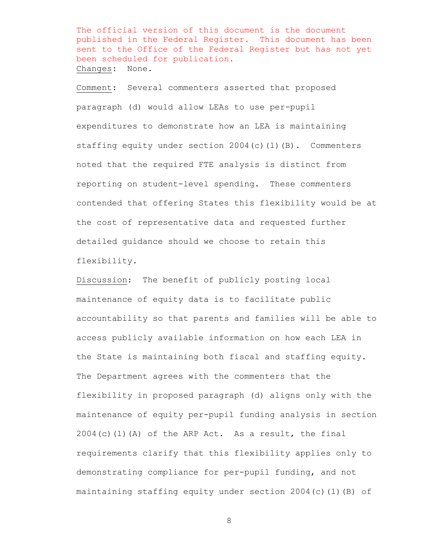The official version of this document is the document published in the Federal Register. This document has been sent to the Office of the Federal Register but has not yet been scheduled for publication. Changes: None.

Comment: Several commenters asserted that proposed paragraph (d) would allow LEAs to use per-pupil expenditures to demonstrate how an LEA is maintaining staffing equity under section 2004(c)(1)(B). Commenters noted that the required FTE analysis is distinct from reporting on student-level spending. These commenters contended that offering States this flexibility would be at the cost of representative data and requested further detailed guidance should we choose to retain this flexibility.

Discussion: The benefit of publicly posting local maintenance of equity data is to facilitate public accountability so that parents and families will be able to access publicly available information on how each LEA in the State is maintaining both fiscal and staffing equity. The Department agrees with the commenters that the flexibility in proposed paragraph (d) aligns only with the maintenance of equity per-pupil funding analysis in section  $2004(c)$  (1)(A) of the ARP Act. As a result, the final requirements clarify that this flexibility applies only to demonstrating compliance for per-pupil funding, and not maintaining staffing equity under section 2004(c)(1)(B) of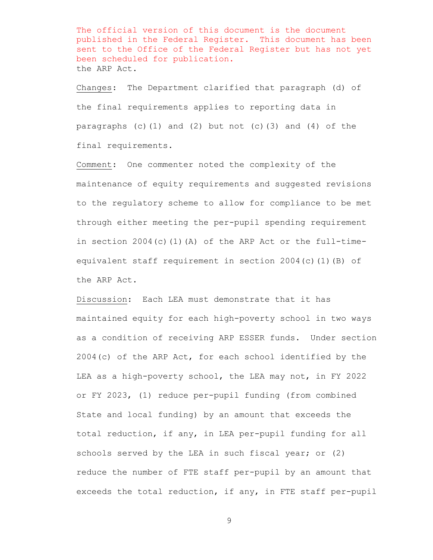The official version of this document is the document published in the Federal Register. This document has been sent to the Office of the Federal Register but has not yet been scheduled for publication. the ARP Act.

Changes: The Department clarified that paragraph (d) of the final requirements applies to reporting data in paragraphs (c)(1) and (2) but not (c)(3) and (4) of the final requirements.

Comment: One commenter noted the complexity of the maintenance of equity requirements and suggested revisions to the regulatory scheme to allow for compliance to be met through either meeting the per-pupil spending requirement in section 2004(c)(1)(A) of the ARP Act or the full-timeequivalent staff requirement in section 2004(c)(1)(B) of the ARP Act.

Discussion: Each LEA must demonstrate that it has maintained equity for each high-poverty school in two ways as a condition of receiving ARP ESSER funds. Under section 2004(c) of the ARP Act, for each school identified by the LEA as a high-poverty school, the LEA may not, in FY 2022 or FY 2023, (1) reduce per-pupil funding (from combined State and local funding) by an amount that exceeds the total reduction, if any, in LEA per-pupil funding for all schools served by the LEA in such fiscal year; or (2) reduce the number of FTE staff per-pupil by an amount that exceeds the total reduction, if any, in FTE staff per-pupil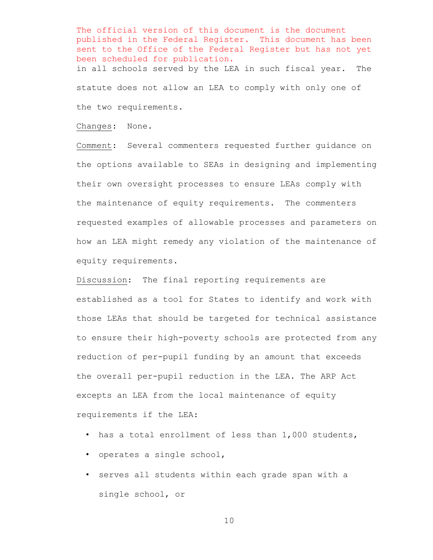The official version of this document is the document published in the Federal Register. This document has been sent to the Office of the Federal Register but has not yet been scheduled for publication. in all schools served by the LEA in such fiscal year. The statute does not allow an LEA to comply with only one of the two requirements.

Changes: None.

Comment: Several commenters requested further guidance on the options available to SEAs in designing and implementing their own oversight processes to ensure LEAs comply with the maintenance of equity requirements. The commenters requested examples of allowable processes and parameters on how an LEA might remedy any violation of the maintenance of equity requirements.

Discussion: The final reporting requirements are established as a tool for States to identify and work with those LEAs that should be targeted for technical assistance to ensure their high-poverty schools are protected from any reduction of per-pupil funding by an amount that exceeds the overall per-pupil reduction in the LEA. The ARP Act excepts an LEA from the local maintenance of equity requirements if the LEA:

- has a total enrollment of less than 1,000 students,
- operates a single school,
- serves all students within each grade span with a single school, or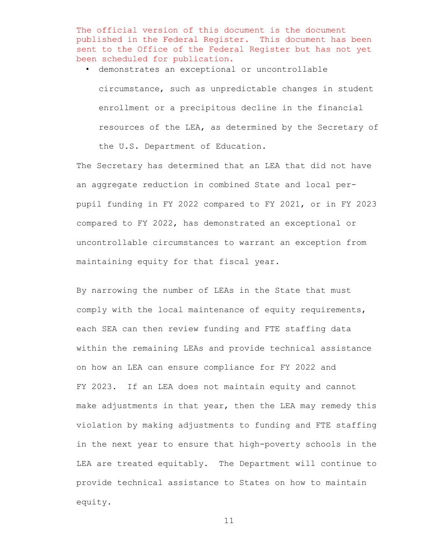The official version of this document is the document published in the Federal Register. This document has been sent to the Office of the Federal Register but has not yet been scheduled for publication.

• demonstrates an exceptional or uncontrollable

circumstance, such as unpredictable changes in student enrollment or a precipitous decline in the financial resources of the LEA, as determined by the Secretary of

the U.S. Department of Education.

The Secretary has determined that an LEA that did not have an aggregate reduction in combined State and local perpupil funding in FY 2022 compared to FY 2021, or in FY 2023 compared to FY 2022, has demonstrated an exceptional or uncontrollable circumstances to warrant an exception from maintaining equity for that fiscal year.

By narrowing the number of LEAs in the State that must comply with the local maintenance of equity requirements, each SEA can then review funding and FTE staffing data within the remaining LEAs and provide technical assistance on how an LEA can ensure compliance for FY 2022 and FY 2023. If an LEA does not maintain equity and cannot make adjustments in that year, then the LEA may remedy this violation by making adjustments to funding and FTE staffing in the next year to ensure that high-poverty schools in the LEA are treated equitably. The Department will continue to provide technical assistance to States on how to maintain equity.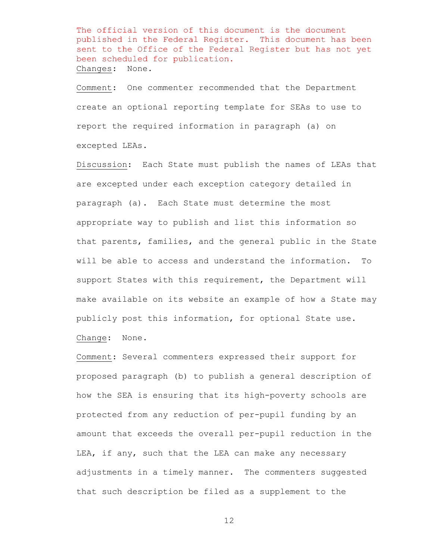The official version of this document is the document published in the Federal Register. This document has been sent to the Office of the Federal Register but has not yet been scheduled for publication. Changes: None.

Comment: One commenter recommended that the Department create an optional reporting template for SEAs to use to report the required information in paragraph (a) on excepted LEAs.

Discussion: Each State must publish the names of LEAs that are excepted under each exception category detailed in paragraph (a). Each State must determine the most appropriate way to publish and list this information so that parents, families, and the general public in the State will be able to access and understand the information. To support States with this requirement, the Department will make available on its website an example of how a State may publicly post this information, for optional State use.

Change: None.

Comment: Several commenters expressed their support for proposed paragraph (b) to publish a general description of how the SEA is ensuring that its high-poverty schools are protected from any reduction of per-pupil funding by an amount that exceeds the overall per-pupil reduction in the LEA, if any, such that the LEA can make any necessary adjustments in a timely manner. The commenters suggested that such description be filed as a supplement to the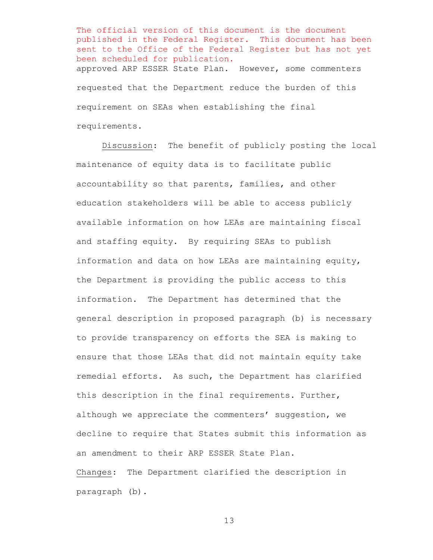The official version of this document is the document published in the Federal Register. This document has been sent to the Office of the Federal Register but has not yet been scheduled for publication. approved ARP ESSER State Plan. However, some commenters requested that the Department reduce the burden of this requirement on SEAs when establishing the final requirements.

Discussion: The benefit of publicly posting the local maintenance of equity data is to facilitate public accountability so that parents, families, and other education stakeholders will be able to access publicly available information on how LEAs are maintaining fiscal and staffing equity. By requiring SEAs to publish information and data on how LEAs are maintaining equity, the Department is providing the public access to this information. The Department has determined that the general description in proposed paragraph (b) is necessary to provide transparency on efforts the SEA is making to ensure that those LEAs that did not maintain equity take remedial efforts. As such, the Department has clarified this description in the final requirements. Further, although we appreciate the commenters' suggestion, we decline to require that States submit this information as an amendment to their ARP ESSER State Plan. Changes: The Department clarified the description in paragraph (b).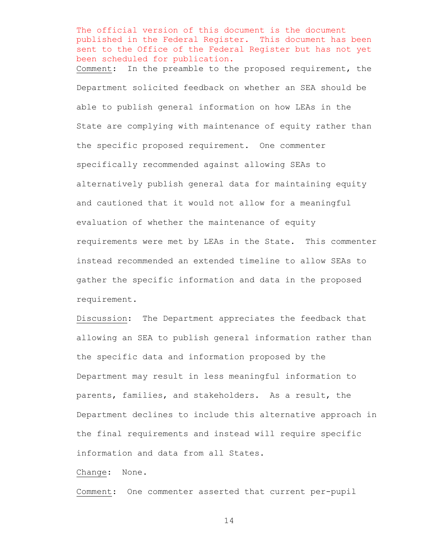The official version of this document is the document published in the Federal Register. This document has been sent to the Office of the Federal Register but has not yet been scheduled for publication. Comment:In the preamble to the proposed requirement, the Department solicited feedback on whether an SEA should be able to publish general information on how LEAs in the State are complying with maintenance of equity rather than the specific proposed requirement. One commenter specifically recommended against allowing SEAs to alternatively publish general data for maintaining equity and cautioned that it would not allow for a meaningful evaluation of whether the maintenance of equity requirements were met by LEAs in the State. This commenter instead recommended an extended timeline to allow SEAs to gather the specific information and data in the proposed requirement.

Discussion: The Department appreciates the feedback that allowing an SEA to publish general information rather than the specific data and information proposed by the Department may result in less meaningful information to parents, families, and stakeholders. As a result, the Department declines to include this alternative approach in the final requirements and instead will require specific information and data from all States.

# Change: None.

Comment: One commenter asserted that current per-pupil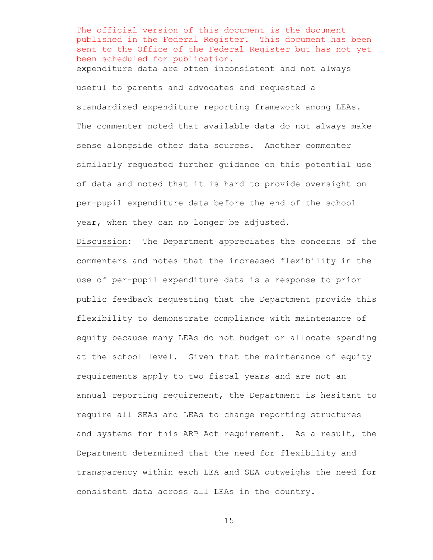The official version of this document is the document published in the Federal Register. This document has been sent to the Office of the Federal Register but has not yet been scheduled for publication. expenditure data are often inconsistent and not always useful to parents and advocates and requested a standardized expenditure reporting framework among LEAs. The commenter noted that available data do not always make sense alongside other data sources. Another commenter similarly requested further guidance on this potential use of data and noted that it is hard to provide oversight on per-pupil expenditure data before the end of the school year, when they can no longer be adjusted.

Discussion: The Department appreciates the concerns of the commenters and notes that the increased flexibility in the use of per-pupil expenditure data is a response to prior public feedback requesting that the Department provide this flexibility to demonstrate compliance with maintenance of equity because many LEAs do not budget or allocate spending at the school level. Given that the maintenance of equity requirements apply to two fiscal years and are not an annual reporting requirement, the Department is hesitant to require all SEAs and LEAs to change reporting structures and systems for this ARP Act requirement. As a result, the Department determined that the need for flexibility and transparency within each LEA and SEA outweighs the need for consistent data across all LEAs in the country.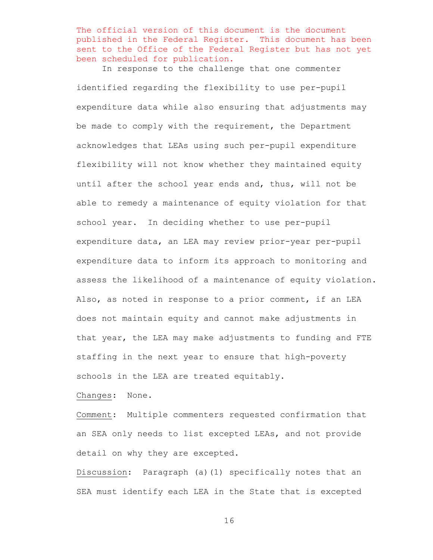The official version of this document is the document published in the Federal Register. This document has been sent to the Office of the Federal Register but has not yet been scheduled for publication.

In response to the challenge that one commenter

identified regarding the flexibility to use per-pupil expenditure data while also ensuring that adjustments may be made to comply with the requirement, the Department acknowledges that LEAs using such per-pupil expenditure flexibility will not know whether they maintained equity until after the school year ends and, thus, will not be able to remedy a maintenance of equity violation for that school year. In deciding whether to use per-pupil expenditure data, an LEA may review prior-year per-pupil expenditure data to inform its approach to monitoring and assess the likelihood of a maintenance of equity violation. Also, as noted in response to a prior comment, if an LEA does not maintain equity and cannot make adjustments in that year, the LEA may make adjustments to funding and FTE staffing in the next year to ensure that high-poverty schools in the LEA are treated equitably.

Changes: None.

Comment: Multiple commenters requested confirmation that an SEA only needs to list excepted LEAs, and not provide detail on why they are excepted.

Discussion: Paragraph (a)(1) specifically notes that an SEA must identify each LEA in the State that is excepted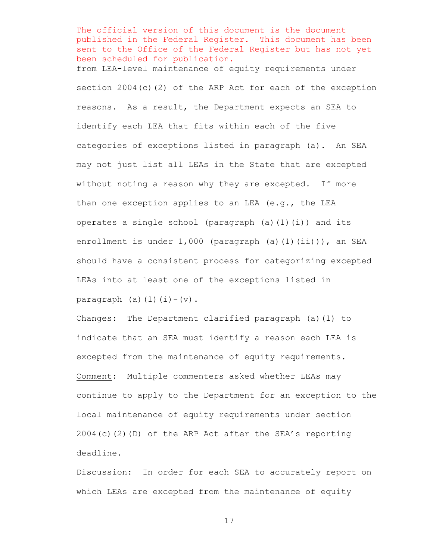The official version of this document is the document published in the Federal Register. This document has been sent to the Office of the Federal Register but has not yet been scheduled for publication. from LEA-level maintenance of equity requirements under section 2004(c)(2) of the ARP Act for each of the exception reasons. As a result, the Department expects an SEA to identify each LEA that fits within each of the five categories of exceptions listed in paragraph (a). An SEA may not just list all LEAs in the State that are excepted without noting a reason why they are excepted. If more than one exception applies to an LEA (e.g., the LEA operates a single school (paragraph (a)(1)(i)) and its enrollment is under 1,000 (paragraph (a)(1)(ii))), an SEA should have a consistent process for categorizing excepted LEAs into at least one of the exceptions listed in paragraph (a) $(1)(i)-(v)$ .

Changes: The Department clarified paragraph (a)(1) to indicate that an SEA must identify a reason each LEA is excepted from the maintenance of equity requirements. Comment: Multiple commenters asked whether LEAs may continue to apply to the Department for an exception to the local maintenance of equity requirements under section 2004(c)(2)(D) of the ARP Act after the SEA's reporting deadline.

Discussion: In order for each SEA to accurately report on which LEAs are excepted from the maintenance of equity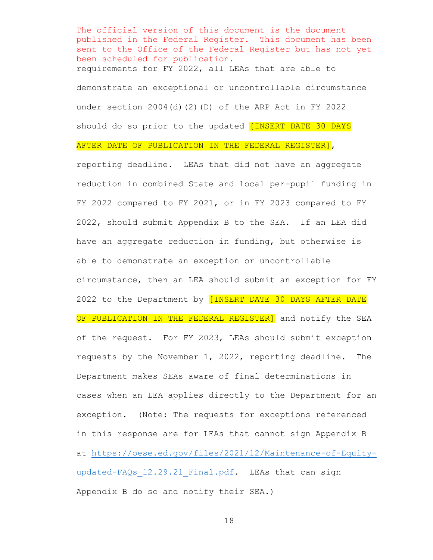The official version of this document is the document published in the Federal Register. This document has been sent to the Office of the Federal Register but has not yet been scheduled for publication. requirements for FY 2022, all LEAs that are able to demonstrate an exceptional or uncontrollable circumstance under section  $2004(d)(2)(D)$  of the ARP Act in FY 2022 should do so prior to the updated [INSERT DATE 30 DAYS

AFTER DATE OF PUBLICATION IN THE FEDERAL REGISTER],

reporting deadline. LEAs that did not have an aggregate reduction in combined State and local per-pupil funding in FY 2022 compared to FY 2021, or in FY 2023 compared to FY 2022, should submit Appendix B to the SEA. If an LEA did have an aggregate reduction in funding, but otherwise is able to demonstrate an exception or uncontrollable circumstance, then an LEA should submit an exception for FY 2022 to the Department by *[INSERT DATE 30 DAYS AFTER DATE* OF PUBLICATION IN THE FEDERAL REGISTER] and notify the SEA of the request. For FY 2023, LEAs should submit exception requests by the November 1, 2022, reporting deadline. The Department makes SEAs aware of final determinations in cases when an LEA applies directly to the Department for an exception. (Note: The requests for exceptions referenced in this response are for LEAs that cannot sign Appendix B at [https://oese.ed.gov/files/2021/12/Maintenance-of-Equity](https://oese.ed.gov/files/2021/12/Maintenance-of-Equity-updated-FAQs_12.29.21_Final.pdf)updated-FAQs 12.29.21 Final.pdf. LEAs that can sign Appendix B do so and notify their SEA.)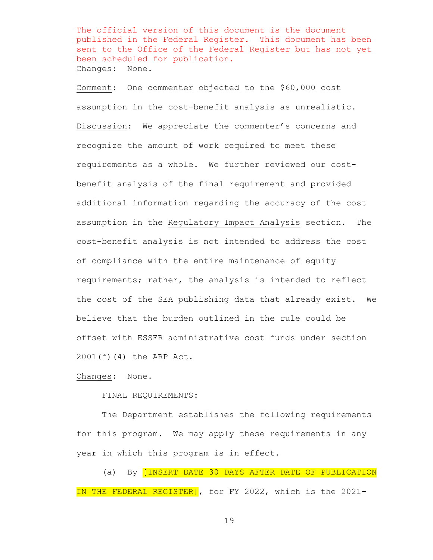The official version of this document is the document published in the Federal Register. This document has been sent to the Office of the Federal Register but has not yet been scheduled for publication. Changes: None.

Comment: One commenter objected to the \$60,000 cost assumption in the cost-benefit analysis as unrealistic. Discussion: We appreciate the commenter's concerns and recognize the amount of work required to meet these requirements as a whole. We further reviewed our costbenefit analysis of the final requirement and provided additional information regarding the accuracy of the cost assumption in the Regulatory Impact Analysis section. The cost-benefit analysis is not intended to address the cost of compliance with the entire maintenance of equity requirements; rather, the analysis is intended to reflect the cost of the SEA publishing data that already exist. We believe that the burden outlined in the rule could be offset with ESSER administrative cost funds under section 2001(f)(4) the ARP Act.

Changes: None.

#### FINAL REQUIREMENTS:

The Department establishes the following requirements for this program. We may apply these requirements in any year in which this program is in effect.

(a) By [INSERT DATE 30 DAYS AFTER DATE OF PUBLICATION IN THE FEDERAL REGISTER], for FY 2022, which is the 2021-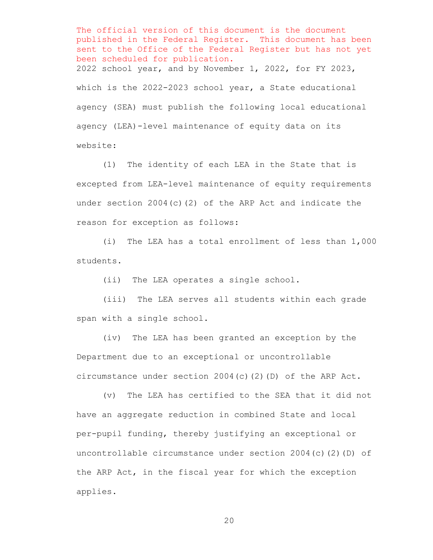The official version of this document is the document published in the Federal Register. This document has been sent to the Office of the Federal Register but has not yet been scheduled for publication. 2022 school year, and by November 1, 2022, for FY 2023, which is the 2022-2023 school year, a State educational agency (SEA) must publish the following local educational agency (LEA)-level maintenance of equity data on its website:

(1) The identity of each LEA in the State that is excepted from LEA-level maintenance of equity requirements under section 2004(c)(2) of the ARP Act and indicate the reason for exception as follows:

(i) The LEA has a total enrollment of less than 1,000 students.

(ii) The LEA operates a single school.

(iii) The LEA serves all students within each grade span with a single school.

(iv) The LEA has been granted an exception by the Department due to an exceptional or uncontrollable circumstance under section 2004(c)(2)(D) of the ARP Act.

(v) The LEA has certified to the SEA that it did not have an aggregate reduction in combined State and local per-pupil funding, thereby justifying an exceptional or uncontrollable circumstance under section 2004(c)(2)(D) of the ARP Act, in the fiscal year for which the exception applies.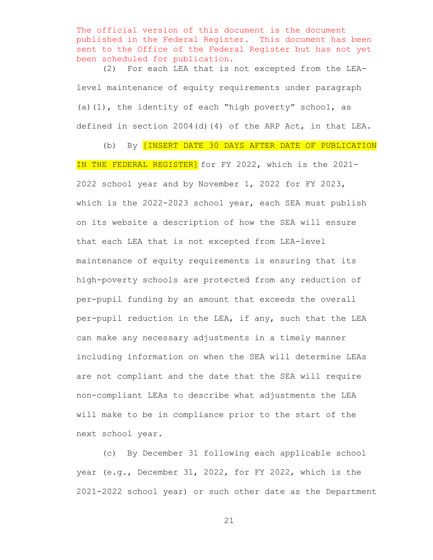The official version of this document is the document published in the Federal Register. This document has been sent to the Office of the Federal Register but has not yet been scheduled for publication.

(2) For each LEA that is not excepted from the LEAlevel maintenance of equity requirements under paragraph (a)(1), the identity of each "high poverty" school, as defined in section 2004(d)(4) of the ARP Act, in that LEA.

(b) By [INSERT DATE 30 DAYS AFTER DATE OF PUBLICATION IN THE FEDERAL REGISTER] for FY 2022, which is the 2021-2022 school year and by November 1, 2022 for FY 2023, which is the 2022-2023 school year, each SEA must publish on its website a description of how the SEA will ensure that each LEA that is not excepted from LEA-level maintenance of equity requirements is ensuring that its high-poverty schools are protected from any reduction of per-pupil funding by an amount that exceeds the overall per-pupil reduction in the LEA, if any, such that the LEA can make any necessary adjustments in a timely manner including information on when the SEA will determine LEAs are not compliant and the date that the SEA will require non-compliant LEAs to describe what adjustments the LEA will make to be in compliance prior to the start of the next school year.

(c) By December 31 following each applicable school year (e.g., December 31, 2022, for FY 2022, which is the 2021-2022 school year) or such other date as the Department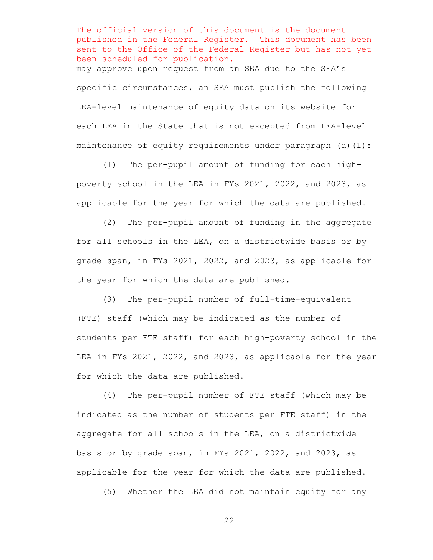The official version of this document is the document published in the Federal Register. This document has been sent to the Office of the Federal Register but has not yet been scheduled for publication. may approve upon request from an SEA due to the SEA's specific circumstances, an SEA must publish the following LEA-level maintenance of equity data on its website for each LEA in the State that is not excepted from LEA-level maintenance of equity requirements under paragraph  $(a)(1)$ :

(1) The per-pupil amount of funding for each highpoverty school in the LEA in FYs 2021, 2022, and 2023, as applicable for the year for which the data are published.

(2) The per-pupil amount of funding in the aggregate for all schools in the LEA, on a districtwide basis or by grade span, in FYs 2021, 2022, and 2023, as applicable for the year for which the data are published.

(3) The per-pupil number of full-time-equivalent (FTE) staff (which may be indicated as the number of students per FTE staff) for each high-poverty school in the LEA in FYs 2021, 2022, and 2023, as applicable for the year for which the data are published.

(4) The per-pupil number of FTE staff (which may be indicated as the number of students per FTE staff) in the aggregate for all schools in the LEA, on a districtwide basis or by grade span, in FYs 2021, 2022, and 2023, as applicable for the year for which the data are published.

(5) Whether the LEA did not maintain equity for any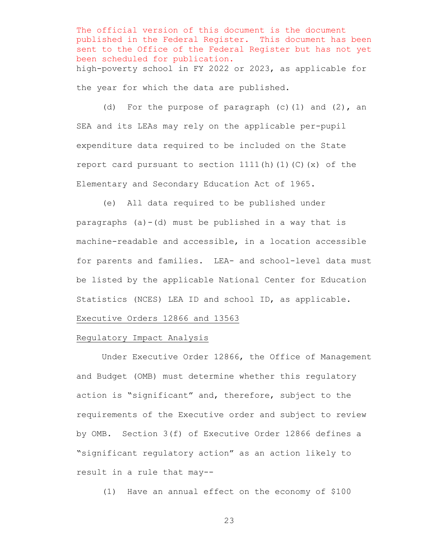The official version of this document is the document published in the Federal Register. This document has been sent to the Office of the Federal Register but has not yet been scheduled for publication. high-poverty school in FY 2022 or 2023, as applicable for the year for which the data are published.

(d) For the purpose of paragraph  $(c)$  (1) and  $(2)$ , an SEA and its LEAs may rely on the applicable per-pupil expenditure data required to be included on the State report card pursuant to section  $1111(h)$  (1)(C)(x) of the Elementary and Secondary Education Act of 1965.

(e) All data required to be published under paragraphs  $(a) - (d)$  must be published in a way that is machine-readable and accessible, in a location accessible for parents and families. LEA- and school-level data must be listed by the applicable National Center for Education Statistics (NCES) LEA ID and school ID, as applicable.

## Executive Orders 12866 and 13563

#### Regulatory Impact Analysis

Under Executive Order 12866, the Office of Management and Budget (OMB) must determine whether this regulatory action is "significant" and, therefore, subject to the requirements of the Executive order and subject to review by OMB. Section 3(f) of Executive Order 12866 defines a "significant regulatory action" as an action likely to result in a rule that may--

(1) Have an annual effect on the economy of \$100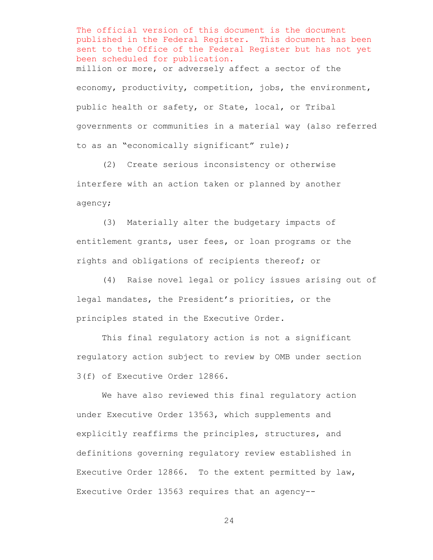The official version of this document is the document published in the Federal Register. This document has been sent to the Office of the Federal Register but has not yet been scheduled for publication. million or more, or adversely affect a sector of the economy, productivity, competition, jobs, the environment, public health or safety, or State, local, or Tribal governments or communities in a material way (also referred to as an "economically significant" rule);

 (2) Create serious inconsistency or otherwise interfere with an action taken or planned by another agency;

 (3) Materially alter the budgetary impacts of entitlement grants, user fees, or loan programs or the rights and obligations of recipients thereof; or

 (4) Raise novel legal or policy issues arising out of legal mandates, the President's priorities, or the principles stated in the Executive Order.

 This final regulatory action is not a significant regulatory action subject to review by OMB under section 3(f) of Executive Order 12866.

We have also reviewed this final regulatory action under Executive Order 13563, which supplements and explicitly reaffirms the principles, structures, and definitions governing regulatory review established in Executive Order 12866. To the extent permitted by law, Executive Order 13563 requires that an agency--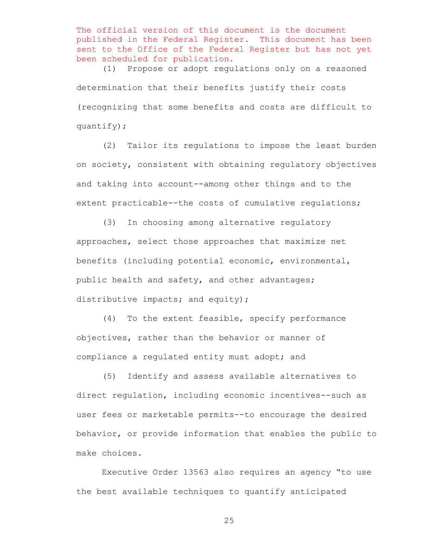The official version of this document is the document published in the Federal Register. This document has been sent to the Office of the Federal Register but has not yet been scheduled for publication.

 (1) Propose or adopt regulations only on a reasoned determination that their benefits justify their costs (recognizing that some benefits and costs are difficult to quantify);

 (2) Tailor its regulations to impose the least burden on society, consistent with obtaining regulatory objectives and taking into account--among other things and to the extent practicable--the costs of cumulative regulations;

 (3) In choosing among alternative regulatory approaches, select those approaches that maximize net benefits (including potential economic, environmental, public health and safety, and other advantages; distributive impacts; and equity);

 (4) To the extent feasible, specify performance objectives, rather than the behavior or manner of compliance a regulated entity must adopt; and

 (5) Identify and assess available alternatives to direct regulation, including economic incentives--such as user fees or marketable permits--to encourage the desired behavior, or provide information that enables the public to make choices.

 Executive Order 13563 also requires an agency "to use the best available techniques to quantify anticipated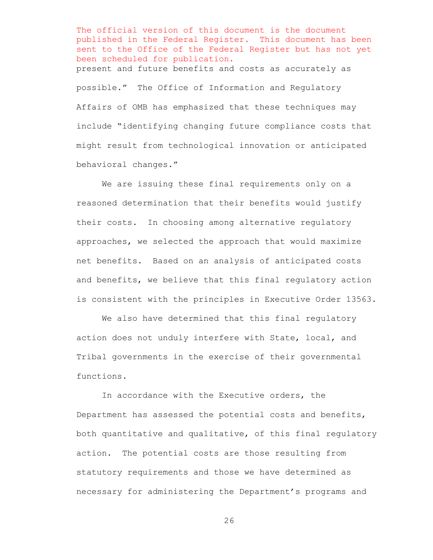The official version of this document is the document published in the Federal Register. This document has been sent to the Office of the Federal Register but has not yet been scheduled for publication. present and future benefits and costs as accurately as possible." The Office of Information and Regulatory Affairs of OMB has emphasized that these techniques may include "identifying changing future compliance costs that might result from technological innovation or anticipated behavioral changes."

We are issuing these final requirements only on a reasoned determination that their benefits would justify their costs. In choosing among alternative regulatory approaches, we selected the approach that would maximize net benefits. Based on an analysis of anticipated costs and benefits, we believe that this final regulatory action is consistent with the principles in Executive Order 13563.

 We also have determined that this final regulatory action does not unduly interfere with State, local, and Tribal governments in the exercise of their governmental functions.

In accordance with the Executive orders, the Department has assessed the potential costs and benefits, both quantitative and qualitative, of this final regulatory action. The potential costs are those resulting from statutory requirements and those we have determined as necessary for administering the Department's programs and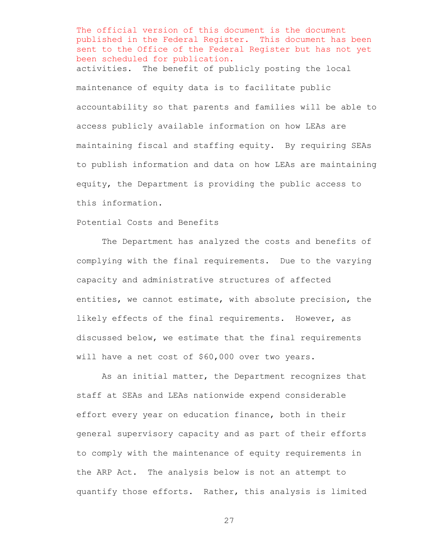The official version of this document is the document published in the Federal Register. This document has been sent to the Office of the Federal Register but has not yet been scheduled for publication. activities. The benefit of publicly posting the local maintenance of equity data is to facilitate public accountability so that parents and families will be able to access publicly available information on how LEAs are maintaining fiscal and staffing equity. By requiring SEAs to publish information and data on how LEAs are maintaining equity, the Department is providing the public access to this information.

Potential Costs and Benefits

The Department has analyzed the costs and benefits of complying with the final requirements. Due to the varying capacity and administrative structures of affected entities, we cannot estimate, with absolute precision, the likely effects of the final requirements. However, as discussed below, we estimate that the final requirements will have a net cost of \$60,000 over two years.

As an initial matter, the Department recognizes that staff at SEAs and LEAs nationwide expend considerable effort every year on education finance, both in their general supervisory capacity and as part of their efforts to comply with the maintenance of equity requirements in the ARP Act. The analysis below is not an attempt to quantify those efforts. Rather, this analysis is limited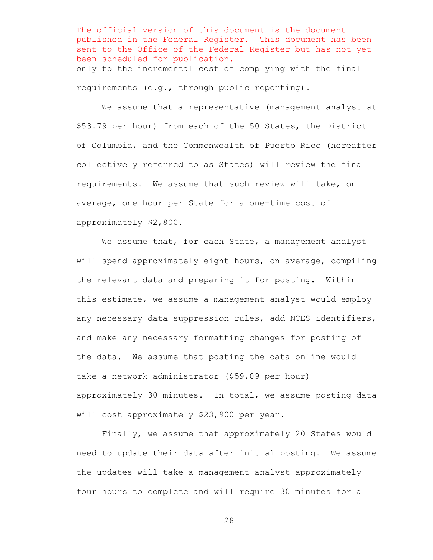The official version of this document is the document published in the Federal Register. This document has been sent to the Office of the Federal Register but has not yet been scheduled for publication. only to the incremental cost of complying with the final requirements (e.g., through public reporting).

We assume that a representative (management analyst at \$53.79 per hour) from each of the 50 States, the District of Columbia, and the Commonwealth of Puerto Rico (hereafter collectively referred to as States) will review the final requirements. We assume that such review will take, on average, one hour per State for a one-time cost of approximately \$2,800.

We assume that, for each State, a management analyst will spend approximately eight hours, on average, compiling the relevant data and preparing it for posting. Within this estimate, we assume a management analyst would employ any necessary data suppression rules, add NCES identifiers, and make any necessary formatting changes for posting of the data. We assume that posting the data online would take a network administrator (\$59.09 per hour) approximately 30 minutes. In total, we assume posting data will cost approximately \$23,900 per year.

Finally, we assume that approximately 20 States would need to update their data after initial posting. We assume the updates will take a management analyst approximately four hours to complete and will require 30 minutes for a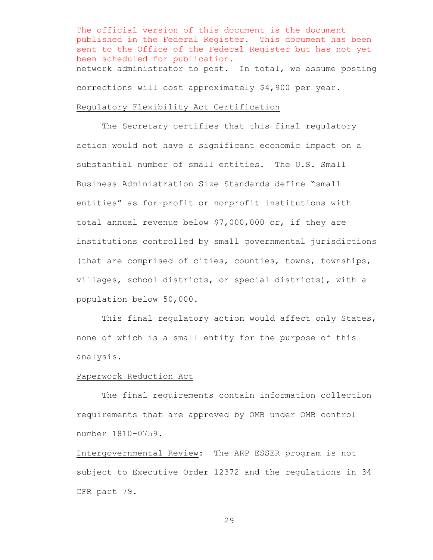The official version of this document is the document published in the Federal Register. This document has been sent to the Office of the Federal Register but has not yet been scheduled for publication. network administrator to post. In total, we assume posting corrections will cost approximately \$4,900 per year.

# Regulatory Flexibility Act Certification

The Secretary certifies that this final regulatory action would not have a significant economic impact on a substantial number of small entities. The U.S. Small Business Administration Size Standards define "small entities" as for-profit or nonprofit institutions with total annual revenue below \$7,000,000 or, if they are institutions controlled by small governmental jurisdictions (that are comprised of cities, counties, towns, townships, villages, school districts, or special districts), with a population below 50,000.

This final regulatory action would affect only States, none of which is a small entity for the purpose of this analysis.

### Paperwork Reduction Act

The final requirements contain information collection requirements that are approved by OMB under OMB control number 1810-0759.

Intergovernmental Review: The ARP ESSER program is not subject to Executive Order 12372 and the regulations in 34 CFR part 79.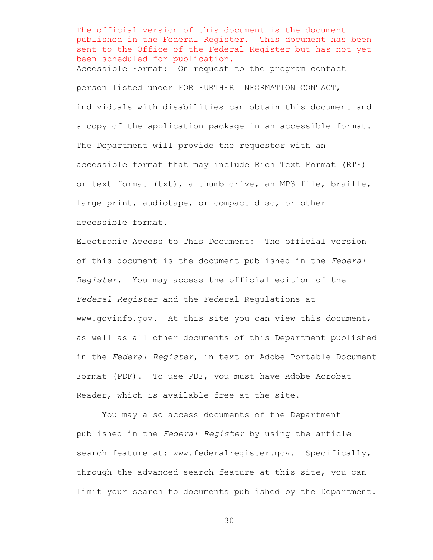The official version of this document is the document published in the Federal Register. This document has been sent to the Office of the Federal Register but has not yet been scheduled for publication. Accessible Format: On request to the program contact person listed under FOR FURTHER INFORMATION CONTACT, individuals with disabilities can obtain this document and a copy of the application package in an accessible format. The Department will provide the requestor with an accessible format that may include Rich Text Format (RTF) or text format (txt), a thumb drive, an MP3 file, braille, large print, audiotape, or compact disc, or other accessible format.

Electronic Access to This Document: The official version of this document is the document published in the *Federal Register*. You may access the official edition of the *Federal Register* and the Federal Regulations at www.govinfo.gov. At this site you can view this document, as well as all other documents of this Department published in the *Federal Register*, in text or Adobe Portable Document Format (PDF). To use PDF, you must have Adobe Acrobat Reader, which is available free at the site.

You may also access documents of the Department published in the *Federal Register* by using the article search feature at: www.federalregister.gov. Specifically, through the advanced search feature at this site, you can limit your search to documents published by the Department.